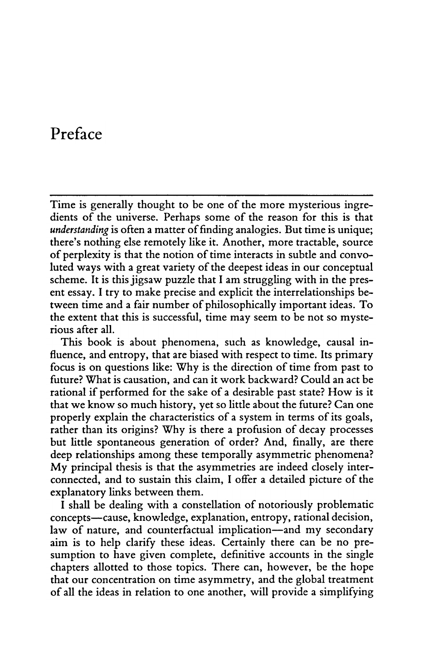## Preface

Time is generally thought to be one of the more mysterious ingredients of the universe. Perhaps some of the reason for this is that understanding is often a matter of finding analogies. But time is unique; there's nothing else remotely like it. Another, more tractable, source of perplexity is that the notion of time interacts in subtle and convoluted ways with a great variety of the deepest ideas in our conceptual scheme. It is this jigsaw puzzle that I am struggling with in the present essay. I try to make precise and explicit the interrelationships between time and a fair number of philosophically important ideas. To the extent that this is successful, time may seem to be not so mysterious after all.

This book is about phenomena, such as knowledge, causal influence, and entropy, that are biased with respect to time. Its primary focus is on questions like: Why is the direction of time from past to future? What is causation, and can it work backward? Could an act be rational if performed for the sake of a desirable past state? How is it that we know so much history, yet so little about the future? Can one properly explain the characteristics of a system in terms of its goals, rather than its origins? Why is there a profusion of decay processes but little spontaneous generation of order? And, finally, are there deep relationships among these temporally asymmetric phenomena? My principal thesis is that the asymmetries are indeed closely interconnected, and to sustain this claim. I offer a detailed picture of the explanatory links between them.

I shall be dealing with a constellation of notoriously problematic concepts—cause, knowledge, explanation, entropy, rational decision, law of nature, and counterfactual implication—and my secondary aim is to help clarify these ideas. Certainly there can be no presumption to have given complete, definitive accounts in the single chapters allotted to those topics. There can, however, be the hope that our concentration on time asymmetry, and the global treatment of all the ideas in relation to one another, will provide a simplifying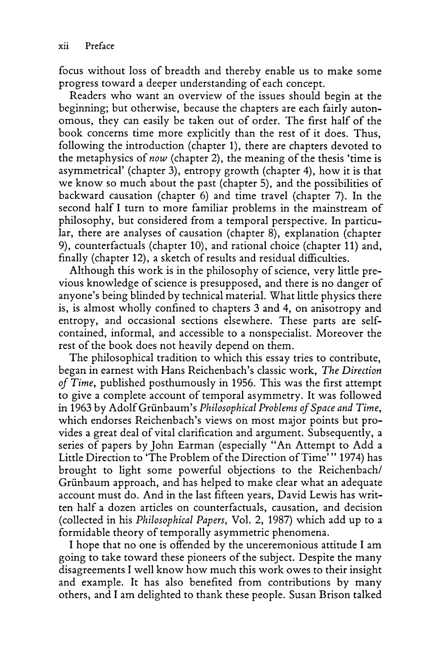focus without loss of breadth and thereby enable us to make some progress toward a deeper understanding of each concept.

Readers who want an overview of the issues should begin at the beginning; but otherwise, because the chapters are each fairly autonomous, they can easily be taken out of order. The first half of the book concerns time more explicitly than the rest of it does. Thus, following the introduction (chapter 1), there are chapters devoted to the metaphysics of now (chapter 2), the meaning of the thesis 'time is asymmetrical' (chapter 3), entropy growth (chapter 4), how it is that we know so much about the past (chapter 5), and the possibilities of backward causation (chapter 6) and time travel (chapter 7). In the second half I turn to more familiar problems in the mainstream of philosophy, but considered from a temporal perspective. In particular, there are analyses of causation (chapter 8), explanation (chapter 9), counterfactuals (chapter 10), and rational choice (chapter 11) and, finally (chapter 12), a sketch of results and residual difficulties.

Although this work is in the philosophy of science, very little previous knowledge of science is presupposed, and there is no danger of anyone's being blinded by technical material. What little physics there is, is almost wholly confined to chapters 3 and 4, on anisotropy and entropy, and occasional sections elsewhere. These parts are selfcontained, informal, and accessible to a nonspecialist. Moreover the rest of the book does not heavily depend on them.

The philosophical tradition to which this essay tries to contribute, began in earnest with Hans Reichenbach's classic work, The Direction of Time, published posthumously in 1956. This was the first attempt to give a complete account of temporal asymmetry. It was followed in 1963 by Adolf Grünbaum's Philosophical Problems of Space and Time, which endorses Reichenbach's views on most major points but provides a great deal of vital clarification and argument. Subsequently, a series of papers by John Earman (especially " An Attempt to Add a Little Direction to 'The Problem of the Direction of Time'" 1974) has brought to light some powerful objections to the Reichenbach/ Griinbaum approach, and has helped to make clear what an adequate account must do. And in the last fifteen years, David Lewis has written half a dozen articles on counterfactuals, causation, and decision (collected in his Philosophical Papers, Vol. 2, 1987) which add up to a formidable theory of temporally asymmetric phenomena.

I hope that no one is offended by the unceremonious attitude I am going to take toward these pioneers of the subject. Despite the many disagreements I well know how much this work owes to their insight and example. It has also benefited from contributions by many others, and I am delighted to thank these people. Susan Brison talked